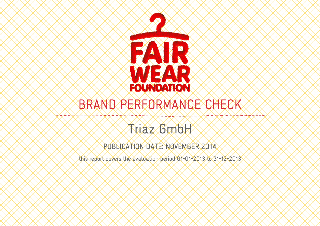

# BRAND PERFORMANCE CHECK

# Triaz GmbH

PUBLICATION DATE: NOVEMBER 2014

this report covers the evaluation period 01-01-2013 to 31-12-2013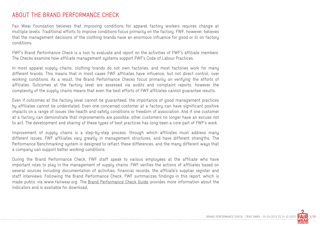#### ABOUT THE BRAND PERFORMANCE CHECK

Fair Wear Foundation believes that improving conditions for apparel factory workers requires change at multiple levels. Traditional efforts to improve conditions focus primarily on the factory. FWF, however, believes that the management decisions of the clothing brands have an enormous influence for good or ill on factory conditions.

FWF's Brand Performance Check is a tool to evaluate and report on the activities of FWF's affiliate members. The Checks examine how affiliate management sustems support FWF's Code of Labour Practices.

In most apparel supply chains, clothing brands do not own factories, and most factories work for many different brands. This means that in most cases FWF affiliates have influence, but not direct control, over working conditions. As a result, the Brand Performance Checks focus primarily on verifying the efforts of affiliates. Outcomes at the factory level are assessed via audits and complaint reports, however the complexity of the supply chains means that even the best efforts of FWF affiliates cannot guarantee results.

Even if outcomes at the factory level cannot be guaranteed, the importance of good management practices by affiliates cannot be understated. Even one concerned customer at a factory can have significant positive impacts on a range of issues like health and safety conditions or freedom of association. And if one customer at a factory can demonstrate that improvements are possible, other customers no longer have an excuse not to act. The development and sharing of these types of best practices has long been a core part of FWF's work.

Improvement of supply chains is a step-by-step process, through which affiliates must address many different issues. FWF affiliates vary greatly in management structures, and have different strengths. The Performance Benchmarking system is designed to reflect these differences, and the many different ways that a company can support better working conditions.

During the Brand Performance Check, FWF staff speak to various employees at the affiliate who have important roles to play in the management of supply chains. FWF verifies the actions of affiliates based on several sources including documentation of activities, financial records, the affiliate's supplier register and staff interviews. Following the Brand Performance Check, FWF summarizes findings in this report, which is made public via www.fairwear.org. The Brand Performance Check Guide provides more information about the indicators and is available for download.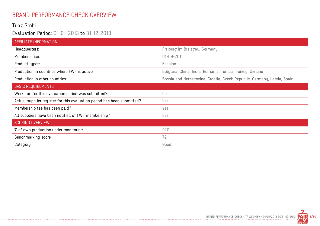# BRAND PERFORMANCE CHECK OVERVIEW

#### Triaz GmbH

#### Evaluation Period: 01-01-2013 to 31-12-2013

-------------------------------

| AFFILIATE INFORMATION                                                   |                                                                         |
|-------------------------------------------------------------------------|-------------------------------------------------------------------------|
| Headquarters:                                                           | Freiburg im Breisgau, Germany                                           |
| Member since:                                                           | 01-09-2011                                                              |
| Product types:                                                          | Fashion                                                                 |
| Production in countries where FWF is active:                            | Bulgaria, China, India, Romania, Tunisia, Turkey, Ukraine               |
| Production in other countries:                                          | Bosnia and Herzegovina, Croatia, Czech Republic, Germany, Latvia, Spain |
| <b>BASIC REQUIREMENTS</b>                                               |                                                                         |
| Workplan for this evaluation period was submitted?                      | Yes                                                                     |
| Actual supplier register for this evaluation period has been submitted? | Yes                                                                     |
| Membership fee has been paid?                                           | Yes                                                                     |
| All suppliers have been notified of FWF membership?                     | Yes                                                                     |
| <b>SCORING OVERVIEW</b>                                                 |                                                                         |
| % of own production under monitoring                                    | 91%                                                                     |
| Benchmarking score                                                      | 72                                                                      |
| Category                                                                | Good                                                                    |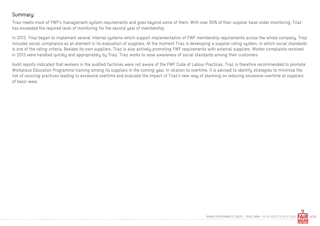#### Summary:

Triaz meets most of FWF's management system requirements and goes beyond some of them. With over 90% of their supplier base under monitoring, Triaz has exceeded the required level of monitoring for the second year of membership.

In 2013, Triaz began to implement several internal systems which support implementation of FWF membership requirements across the whole company. Triaz includes social compliance as an element in its evaluation of suppliers. At the moment Triaz is developing a supplier rating system, in which social standards is one of the rating criteria. Besides its own suppliers, Triaz is also actively promoting FWF requirements with external suppliers. Worker complaints received in 2013 were handled quickly and appropriately by Triaz. Triaz works to raise awareness of social standards among their customers.

Audit reports indicated that workers in the audited factories were not aware of the FWF Code of Labour Practices. Triaz is therefore recommended to promote Workplace Education Programme training among its suppliers in the coming year. In relation to overtime, it is advised to identify strategies to minimise the risk of sourcing practices leading to excessive overtime and evaluate the impact of Triaz's new way of planning on reducing excessive overtime at suppliers of basic wear.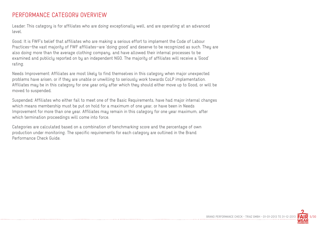#### PERFORMANCE CATEGORY OVERVIEW

Leader: This category is for affiliates who are doing exceptionally well, and are operating at an advanced level.

Good: It is FWF's belief that affiliates who are making a serious effort to implement the Code of Labour Practices—the vast majority of FWF affiliates—are 'doing good' and deserve to be recognized as such. They are also doing more than the average clothing company, and have allowed their internal processes to be examined and publicly reported on by an independent NGO. The majority of affiliates will receive a 'Good' rating.

Needs Improvement: Affiliates are most likely to find themselves in this category when major unexpected problems have arisen, or if they are unable or unwilling to seriously work towards CoLP implementation. Affiliates may be in this category for one year only after which they should either move up to Good, or will be moved to suspended.

Suspended: Affiliates who either fail to meet one of the Basic Requirements, have had major internal changes which means membership must be put on hold for a maximum of one year, or have been in Needs Improvement for more than one year. Affiliates may remain in this category for one year maximum, after which termination proceedings will come into force.

Categories are calculated based on a combination of benchmarking score and the percentage of own production under monitoring. The specific requirements for each category are outlined in the Brand Performance Check Guide.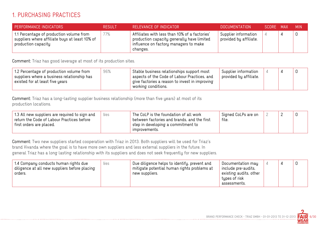## 1. PURCHASING PRACTICES

| <b>PERFORMANCE INDICATORS</b>                                                                                     | <b>RESULT</b> | RELEVANCE OF INDICATOR                                                                                                                                       | <b>DOCUMENTATION</b>                           | SCORE MAX | <b>MIN</b> |
|-------------------------------------------------------------------------------------------------------------------|---------------|--------------------------------------------------------------------------------------------------------------------------------------------------------------|------------------------------------------------|-----------|------------|
| 1.1 Percentage of production volume from<br>suppliers where affiliate buys at least 10% of<br>production capacity | 77%           | Affiliates with less than 10% of a factories'<br>production capacity generally have limited<br>$\parallel$ influence on factory managers to make<br>changes. | Supplier information<br>provided by affiliate. | ⊥         | 0          |

Comment: Triaz has good leverage at most of its production sites.

| 96%<br>1.2 Percentage of production volume from<br>suppliers where a business relationship has<br>existed for at least five years | Stable business relationships support most<br>aspects of the Code of Labour Practices, and<br>$^{\mathrm{+}}$ give factories a reason to invest in improving<br>working conditions. | Supplier information<br>provided by affiliate. |  |  |  |
|-----------------------------------------------------------------------------------------------------------------------------------|-------------------------------------------------------------------------------------------------------------------------------------------------------------------------------------|------------------------------------------------|--|--|--|
|-----------------------------------------------------------------------------------------------------------------------------------|-------------------------------------------------------------------------------------------------------------------------------------------------------------------------------------|------------------------------------------------|--|--|--|

Comment: Triaz has a long-lasting supplier business relationship (more than five years) at most of its production locations.

Comment: Two new suppliers started cooperation with Triaz in 2013. Both suppliers will be used for Triaz's brand Vivanda where the goal is to have more own suppliers and less external suppliers in the future. In general Triaz has a long lasting relationship with its suppliers and does not seek frequently for new suppliers.

| 1.4 Company conducts human rights due<br>diligence at all new suppliers before placing<br>orders. | yes | Due diligence helps to identify, prevent and<br>mitigate potential human rights problems at<br>new suppliers. | Documentation may<br>include pre-audits,<br>existing audits, other<br>types of risk |  | 0 |
|---------------------------------------------------------------------------------------------------|-----|---------------------------------------------------------------------------------------------------------------|-------------------------------------------------------------------------------------|--|---|
|                                                                                                   |     |                                                                                                               | assessments.                                                                        |  |   |

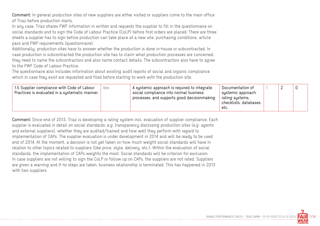Comment: In general production sites of new suppliers are either visited or suppliers come to the main office of Triaz before production starts.

In any case, Triaz shares FWF information in written and requests the supplier to fill in the questionnaire on social standards and to sign the Code of Labour Practice (CoLP) before first orders are placed. There are three sheets a supplier has to sign before production can take place at a new site: purchasing conditions, article pass and FWF requirements (questionnaire).

Additionally, production sites have to answer whether the production is done in-house or subcontracted. In case production is subcontracted the production site has to claim what production processes are concerned, they need to name the subcontractors and also name contact details. The subcontractors also have to agree to the FWF Code of Labour Practice.

The questionnaire also includes information about existing audit reports of social and organic compliance which in case they exist are requested and filed before starting to work with the production site.

| 1.5 Supplier compliance with Code of Labour<br>Yes<br>Practices is evaluated in a systematic manner. | A systemic approach is required to integrate<br>social compliance into normal business<br>processes, and supports good decisionmaking. | Documentation of<br>systemic approach:<br>rating systems,<br>checklists, databases,<br>etc. |  |  |  |  |
|------------------------------------------------------------------------------------------------------|----------------------------------------------------------------------------------------------------------------------------------------|---------------------------------------------------------------------------------------------|--|--|--|--|
|------------------------------------------------------------------------------------------------------|----------------------------------------------------------------------------------------------------------------------------------------|---------------------------------------------------------------------------------------------|--|--|--|--|

Comment: Since end of 2013, Triaz is developing a rating system incl. evaluation of supplier compliance. Each supplier is evaluated in detail on social standards, e.g. transparency disclosing production sites (e.g. agents and external suppliers), whether they are audited/trained and how well they perform with regard to implementation of CAPs. The supplier evaluation is under development in 2014 and will be ready to be used end of 2014. At the moment, a decision is not yet taken on how much weight social standards will have in relation to other topics related to suppliers (like price, style, delivery, etc.). Within the evaluation of social standards, the implementation of CAPs weights the most. Social standards will be criterion for exclusion. In case suppliers are not willing to sign the CoLP or follow up on CAPs, the suppliers are not rated. Suppliers are given a warning and if no steps are taken, business relationship is terminated. This has happened in 2013 with two suppliers.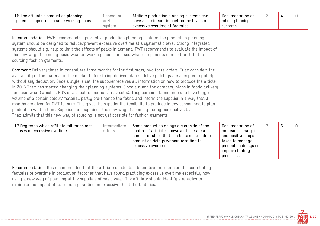| 1.6 The affiliate's production planning   | General or | $\parallel$ Affiliate production planning systems can        | Documentation of |  |  |
|-------------------------------------------|------------|--------------------------------------------------------------|------------------|--|--|
| systems support reasonable working hours. | ad-hoc     | $^\circ$ have a significant impact on the levels of $^\circ$ | robust planning  |  |  |
|                                           | sustem.    | $^\circ$ excessive overtime at factories.                    | sustems.         |  |  |

Recommendation: FWF recommends a pro-active production planning system: The production planning system should be designed to reduce/prevent excessive overtime at a systematic level. Strong integrated systems should e.g. help to limit the effects of peaks in demand. FWF recommends to evaluate the impact of the new way of sourcing basic wear on workings hours and see what components can be translated to sourcing fashion garments.

Comment: Delivery times in general are three months for the first order, two for re-orders. Triaz considers the availability of the material in the market before fixing delivery dates. Delivery delays are accepted regularly without any deduction. Once a style is set, the supplier receives all information on how to produce the article. In 2013 Triaz has started changing their planning systems. Since autumn the company plans in fabric delivery for basic wear (which is 80% of all textile products Triaz sells). They combine fabric orders to have bigger volume of a certain colour/material, partly pre-finance the fabric and inform the supplier in a way that 3 months are given for CMT for sure. This gives the supplier the flexibility to produce in low season and to plan production well in time. Suppliers are explained the new way of sourcing during personal visits. Triaz admits that this new way of sourcing is not yet possible for fashion garments.

| 1.7 Degree to which affiliate mitigates root<br>causes of excessive overtime. | Intermediate<br>efforts | Some production delays are outside of the<br>control of affiliates; however there are a<br>number of steps that can be taken to address<br>production delays without resorting to<br>excessive overtime. | Documentation of<br>root cause analysis<br>and positive steps<br>taken to manage<br>production delays or<br>improve factory | b | 0 |
|-------------------------------------------------------------------------------|-------------------------|----------------------------------------------------------------------------------------------------------------------------------------------------------------------------------------------------------|-----------------------------------------------------------------------------------------------------------------------------|---|---|
|                                                                               |                         |                                                                                                                                                                                                          | processes.                                                                                                                  |   |   |

Recommendation: It is recommended that the affiliate conducts a brand level research on the contributing factories of overtime in production factories that have found practicing excessive overtime especially now using a new way of planning at the suppliers of basic wear. The affiliate should identify strategies to minimise the impact of its sourcing practice on excessive OT at the factories.

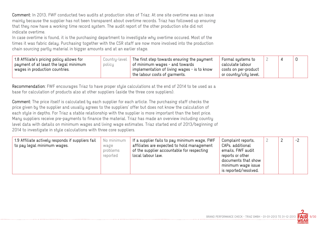Comment: In 2013, FWF conducted two audits at production sites of Triaz. At one site overtime was an issue mainly because the supplier has not been transparent about overtime records. Triaz has followed up ensuring that they now have a working time record system. The audit report of the other production site did not indicate overtime.

In case overtime is found, it is the purchasing department to investigate why overtime occured. Most of the times it was fabric delay. Purchasing together with the CSR staff are now more involved into the production chain sourcing partly material in bigger amounts and at an earlier stage.

| 1.8 Affiliate's pricing policy allows for | Country-level | The first step towards ensuring the payment                   | Formal systems to      |  |  |
|-------------------------------------------|---------------|---------------------------------------------------------------|------------------------|--|--|
| payment of at least the legal minimum     | policy        | $\,$ of minimum wages - and towards                           | calculate labour       |  |  |
| wages in production countries.            |               | $^\shortparallel$ implementation of living wages - is to know | costs on per-product   |  |  |
|                                           |               | the labour costs of garments. $\overline{\phantom{a}}$        | or country/city level. |  |  |

Recommendation: FWF encourages Triaz to have proper style calculations at the end of 2014 to be used as a base for calculation of products also at other suppliers (aside the three core suppliers).

Comment: The price itself is calculated by each supplier for each article. The purchasing staff checks the price given by the supplier and usually agrees to the suppliers' offer but does not know the calculation of each style in depths. For Triaz a stable relationship with the supplier is more important than the best price. Many suppliers receive pre-payments to finance the material. Triaz has made an overview including country level data with details on minimum wages and living wage estimates. Triaz started end of 2013/beginning of 2014 to investigate in style calculations with three core suppliers.

| 1.9 Affiliate actively responds if suppliers fail<br>to pay legal minimum wages. | No minimum<br>wage<br>problems<br>reported | If a supplier fails to pay minimum wage, FWF<br>affiliates are expected to hold management<br>of the supplier accountable for respecting<br>local labour law. | Complaint reports,<br>CAPs, additional<br>emails, FWF audit<br>reports or other<br>documents that show<br>minimum wage issue<br>is reported/resolved. |  | ∸ | $-2$ |
|----------------------------------------------------------------------------------|--------------------------------------------|---------------------------------------------------------------------------------------------------------------------------------------------------------------|-------------------------------------------------------------------------------------------------------------------------------------------------------|--|---|------|
|----------------------------------------------------------------------------------|--------------------------------------------|---------------------------------------------------------------------------------------------------------------------------------------------------------------|-------------------------------------------------------------------------------------------------------------------------------------------------------|--|---|------|

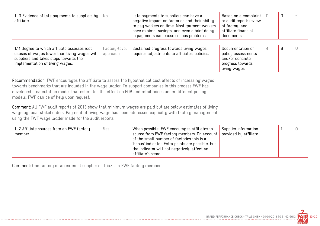| 1.10 Evidence of late payments to suppliers by<br>affiliate.                                                                                                             | No                        | Late payments to suppliers can have a<br>negative impact on factories and their ability<br>to pay workers on time. Most garment workers<br>have minimal savings, and even a brief delay<br>in payments can cause serious problems. | Based on a complaint<br>or audit report; review<br>of factory and<br>affiliate financial<br>documents. |   | 0 | $-1$ |
|--------------------------------------------------------------------------------------------------------------------------------------------------------------------------|---------------------------|------------------------------------------------------------------------------------------------------------------------------------------------------------------------------------------------------------------------------------|--------------------------------------------------------------------------------------------------------|---|---|------|
| 1.11 Degree to which affiliate assesses root<br>causes of wages lower than living wages with<br>suppliers and takes steps towards the<br>implementation of living wages. | Factory-level<br>approach | Sustained progress towards living wages<br>requires adjustments to affiliates' policies.                                                                                                                                           | Documentation of<br>policy assessments<br>and/or concrete<br>progress towards<br>living wages.         | 4 | 8 |      |

Recommendation: FWF encourages the affiliate to assess the hypothetical cost effects of increasing wages towards benchmarks that are included in the wage ladder. To support companies in this process FWF has developed a calculation model that estimates the effect on FOB and retail prices under different pricing models. FWF can be of help upon request.

Comment: All FWF audit reports of 2013 show that minimum wages are paid but are below estimates of living wage by local stakeholders. Payment of living wage has been addressed explicitly with factory management using the FWF wage ladder made for the audit reports.

| 1.12 Affiliate sources from an FWF factory<br>Yes<br>member. | When possible, FWF encourages affiliates to<br>source from FWF factory members. On account<br>of the small number of factories this is a<br>'bonus' indicator. Extra points are possible, but<br>the indicator will not negatively affect an<br>affiliate's score. | Supplier information<br>$\,$ provided by affiliate. |  |  |  |
|--------------------------------------------------------------|--------------------------------------------------------------------------------------------------------------------------------------------------------------------------------------------------------------------------------------------------------------------|-----------------------------------------------------|--|--|--|
|--------------------------------------------------------------|--------------------------------------------------------------------------------------------------------------------------------------------------------------------------------------------------------------------------------------------------------------------|-----------------------------------------------------|--|--|--|

Comment: One factory of an external supplier of Triaz is a FWF factory member.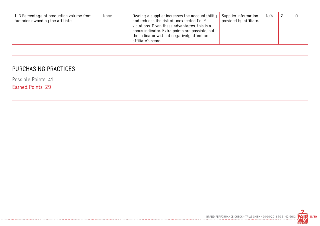| 1.13 Percentage of production volume from<br>None<br>factories owned by the affiliate. | Owning a supplier increases the accountability<br>and reduces the risk of unexpected CoLP<br>violations. Given these advantages, this is a<br>bonus indicator. Extra points are possible, but<br>the indicator will not negatively affect an<br>affiliate's score. | Supplier information<br>provided by affiliate. $\overline{\phantom{a}}$ | N/A |  | 0 |
|----------------------------------------------------------------------------------------|--------------------------------------------------------------------------------------------------------------------------------------------------------------------------------------------------------------------------------------------------------------------|-------------------------------------------------------------------------|-----|--|---|
|----------------------------------------------------------------------------------------|--------------------------------------------------------------------------------------------------------------------------------------------------------------------------------------------------------------------------------------------------------------------|-------------------------------------------------------------------------|-----|--|---|

# PURCHASING PRACTICES

Possible Points: 41

Earned Points: 29

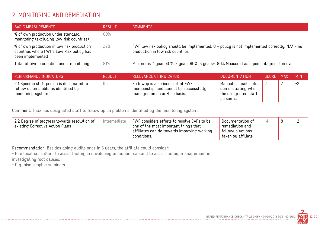# 2. MONITORING AND REMEDIATION

| <b>BASIC MEASUREMENTS</b>                                                                                   | <b>RESULT</b> | COMMENTS                                                                                                                            |
|-------------------------------------------------------------------------------------------------------------|---------------|-------------------------------------------------------------------------------------------------------------------------------------|
| % of own production under standard<br>monitoring (excluding low-risk countries)                             | 69%           |                                                                                                                                     |
| % of own production in low risk production<br>countries where FWF's Low Risk policy has<br>been implemented | 22%           | FWF low risk policy should be implemented. $0$ = policy is not implemented correctly. N/A = no<br>production in low risk countries. |
| Total of own production under monitoring                                                                    | 91%           | Minimums: 1 year: 40%; 2 years 60%; 3 years+: 90% Measured as a percentage of turnover.                                             |

| PERFORMANCE INDICATORS                                                                                 | <b>RESULT</b> | RELEVANCE OF INDICATOR                                                                                     | DOCUMENTATION                                                                       | SCORE MAX | <b>MIN</b> |
|--------------------------------------------------------------------------------------------------------|---------------|------------------------------------------------------------------------------------------------------------|-------------------------------------------------------------------------------------|-----------|------------|
| 2.1 Specific staff person is designated to<br>follow up on problems identified by<br>monitoring system | yes           | Followup is a serious part of FWF<br>membership, and cannot be successfully<br>managed on an ad-hoc basis. | Manuals, emails, etc.,  <br>demonstrating who<br>the designated staff<br>person is. |           | $-2$       |

Comment: Triaz has designated staff to follow up on problems identified by the monitoring system.

| taken by affiliate.<br>conditions. | 2.2 Degree of progress towards resolution of<br>existing Corrective Action Plans | Intermediate | FWF considers efforts to resolve CAPs to be<br>one of the most important things that<br>affiliates can do towards improving working | Documentation of<br>remediation and<br>' followup actions |  |  | $-2$ |
|------------------------------------|----------------------------------------------------------------------------------|--------------|-------------------------------------------------------------------------------------------------------------------------------------|-----------------------------------------------------------|--|--|------|
|------------------------------------|----------------------------------------------------------------------------------|--------------|-------------------------------------------------------------------------------------------------------------------------------------|-----------------------------------------------------------|--|--|------|

Recommendation: Besides doing audits once in 3 years, the affiliate could consider:

- Hire local consultant to assist factory in developing an action plan and to assist factory management in

investigating root causes.

- Organise supplier seminars.

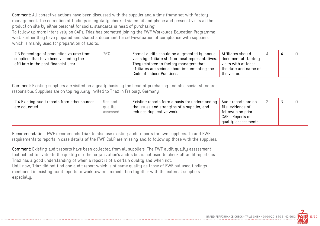Comment: All corrective actions have been discussed with the supplier and a time frame set with factory management. The correction of findings is regularly checked via email and phone and personal visits at the production site by either personal for social standards or head of purchasing.

To follow up more intensively on CAPs, Triaz has promoted joining the FWF Workplace Education Programme well. Further they have prepared and shared a document for self-evaluation of compliance with suppliers which is mainly used for preparation of audits.

| 2.3 Percentage of production volume from<br>75%<br>suppliers that have been visited by the<br>affiliate in the past financial year | Formal audits should be augmented by annual<br>$^\circ$ visits by affiliate staff or local representatives. $\parallel$<br>They reinforce to factory managers that<br>affiliates are serious about implementing the<br>Code of Labour Practices. | Affiliates should<br>document all factory<br>visits with at least<br>the date and name of<br>the visitor. |  |  |  |
|------------------------------------------------------------------------------------------------------------------------------------|--------------------------------------------------------------------------------------------------------------------------------------------------------------------------------------------------------------------------------------------------|-----------------------------------------------------------------------------------------------------------|--|--|--|
|------------------------------------------------------------------------------------------------------------------------------------|--------------------------------------------------------------------------------------------------------------------------------------------------------------------------------------------------------------------------------------------------|-----------------------------------------------------------------------------------------------------------|--|--|--|

Comment: Existing suppliers are visited on a yearly basis by the head of purchasing and also social standards responsible. Suppliers are on top regularly invited to Triaz in Freiburg, Germany.

| 2.4 Existing audit reports from other sources<br>yes and<br>quality<br>are collected.<br>assessed | Existing reports form a basis for understanding<br>the issues and strengths of a supplier, and<br>reduces duplicative work. | Audit reports are on<br>file; evidence of<br>followup on prior<br>CAPs. Reports of<br>quality assessments. |  |  |  |
|---------------------------------------------------------------------------------------------------|-----------------------------------------------------------------------------------------------------------------------------|------------------------------------------------------------------------------------------------------------|--|--|--|
|---------------------------------------------------------------------------------------------------|-----------------------------------------------------------------------------------------------------------------------------|------------------------------------------------------------------------------------------------------------|--|--|--|

Recommendation: FWF recommends Triaz to also use existing audit reports for own suppliers. To add FWF requirements to reports in case details of the FWF CoLP are missing and to follow up those with the suppliers.

Comment: Existing audit reports have been collected from all suppliers. The FWF audit quality assessment tool helped to evaluate the quality of other organization's audits but is not used to check all audit reports as Triaz has a good understanding of when a report is of a certain quality and when not. Until now, Triaz did not find one audit report which is of same quality as those of FWF but used findings mentioned in existing audit reports to work towards remediation together with the external suppliers especially.

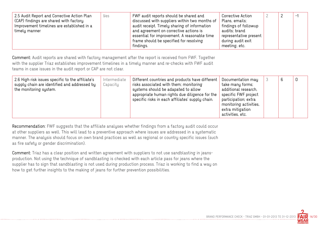| 2.5 Audit Report and Corrective Action Plan<br>(CAP) findings are shared with factory.<br>Improvement timelines are established in a<br>timely manner | FWF audit reports should be shared and<br>Yes<br>discussed with suppliers within two months of<br>audit receipt. Timely sharing of information<br>and agreement on corrective actions is<br>essential for improvement. A reasonable time<br>frame should be specified for resolving<br>findings. | Corrective Action<br>Plans, emails;<br>findings of followup<br>audits; brand<br>representative present<br>during audit exit<br>meeting, etc. | $\mathcal{D}$ | $-1$ |
|-------------------------------------------------------------------------------------------------------------------------------------------------------|--------------------------------------------------------------------------------------------------------------------------------------------------------------------------------------------------------------------------------------------------------------------------------------------------|----------------------------------------------------------------------------------------------------------------------------------------------|---------------|------|
|-------------------------------------------------------------------------------------------------------------------------------------------------------|--------------------------------------------------------------------------------------------------------------------------------------------------------------------------------------------------------------------------------------------------------------------------------------------------|----------------------------------------------------------------------------------------------------------------------------------------------|---------------|------|

Comment: Audit reports are shared with factory management after the report is received from FWF. Together with the supplier Triaz establishes improvement timelines in a timely manner and re-checks with FWF audit teams in case issues in the audit report or CAP are not clear.

| 2.6 High risk issues specific to the affiliate's<br>Intermediate<br>Capacity<br>supply chain are identified and addressed by<br>the monitoring system. | Different countries and products have different<br>risks associated with them; monitoring<br>systems should be adapated to allow<br>appropriate human rights due diligence for the<br>specific risks in each affiliates' supply chain. | Documentation may<br>take many forms;<br>additional research,<br>specific FWF project<br>participation; extra<br>monitoring activities,<br>extra mitigation<br>activities, etc. |  | 6 | 0 |
|--------------------------------------------------------------------------------------------------------------------------------------------------------|----------------------------------------------------------------------------------------------------------------------------------------------------------------------------------------------------------------------------------------|---------------------------------------------------------------------------------------------------------------------------------------------------------------------------------|--|---|---|
|--------------------------------------------------------------------------------------------------------------------------------------------------------|----------------------------------------------------------------------------------------------------------------------------------------------------------------------------------------------------------------------------------------|---------------------------------------------------------------------------------------------------------------------------------------------------------------------------------|--|---|---|

Recommendation: FWF suggests that the affiliate analyses whether findings from a factory audit could occur at other suppliers as well. This will lead to a preventive approach where issues are addressed in a systematic manner. The analysis should focus on own brand practices as well as regional or country specific issues (such as fire safety or gender discrimination).

Comment: Triaz has a clear position and written agreement with suppliers to not use sandblasting in jeansproduction. Not using the technique of sandblasting is checked with each article pass for jeans where the supplier has to sign that sandblasting is not used during production process. Triaz is working to find a way on how to get further insights to the making of jeans for further prevention possibilities.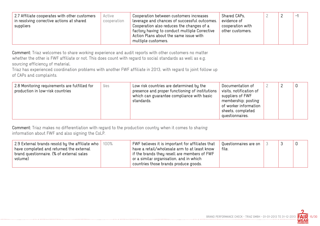| Active<br>2.7 Affiliate cooperates with other customers<br>cooperation<br>in resolving corrective actions at shared<br>suppliers | Cooperation between customers increases<br>leverage and chances of successful outcomes.<br>Cooperation also reduces the changes of a<br>factory having to conduct multiple Corrective<br>Action Plans about the same issue with<br>multiple customers. | Shared CAPs,<br>evidence of<br>cooperation with<br>other customers. |  |  | $-$ |  |
|----------------------------------------------------------------------------------------------------------------------------------|--------------------------------------------------------------------------------------------------------------------------------------------------------------------------------------------------------------------------------------------------------|---------------------------------------------------------------------|--|--|-----|--|
|----------------------------------------------------------------------------------------------------------------------------------|--------------------------------------------------------------------------------------------------------------------------------------------------------------------------------------------------------------------------------------------------------|---------------------------------------------------------------------|--|--|-----|--|

Comment: Triaz welcomes to share working experience and audit reports with other customers no matter whether the other is FWF affiliate or not. This does count with regard to social standards as well as e.g. sourcing efficiency of material.

Triaz has experienced coordination problems with another FWF affiliate in 2013, with regard to joint follow up of CAPs and complaints.

| 2.8 Monitoring requirements are fulfilled for<br>production in low-risk countries | Yes | Low risk countries are determined by the<br>presence and proper functioning of institutions<br>which can guarantee compliance with basic<br>standards. | Documentation of<br>visits, notification of<br>suppliers of FWF<br>membership; posting<br>of worker information<br>sheets, completed<br>questionnaires. |  |  |  |
|-----------------------------------------------------------------------------------|-----|--------------------------------------------------------------------------------------------------------------------------------------------------------|---------------------------------------------------------------------------------------------------------------------------------------------------------|--|--|--|
|-----------------------------------------------------------------------------------|-----|--------------------------------------------------------------------------------------------------------------------------------------------------------|---------------------------------------------------------------------------------------------------------------------------------------------------------|--|--|--|

Comment: Triaz makes no differentiation with regard to the production country when it comes to sharing information about FWF and also signing the CoLP.

| 2.9 External brands resold by the affiliate who<br>100%<br>have completed and returned the external<br>brand questionnaire. (% of external sales<br>volume) | FWF believes it is important for affiliates that<br>have a retail/wholesale arm to at least know<br>if the brands they resell are members of FWF<br>or a similar organisation, and in which<br>countries those brands produce goods. | Questionnaires are on<br>file. |  |  |  |  |
|-------------------------------------------------------------------------------------------------------------------------------------------------------------|--------------------------------------------------------------------------------------------------------------------------------------------------------------------------------------------------------------------------------------|--------------------------------|--|--|--|--|
|-------------------------------------------------------------------------------------------------------------------------------------------------------------|--------------------------------------------------------------------------------------------------------------------------------------------------------------------------------------------------------------------------------------|--------------------------------|--|--|--|--|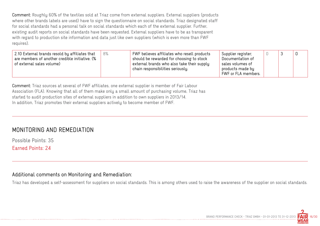Comment: Roughly 60% of the textiles sold at Triaz come from external suppliers. External suppliers (products where other brands labels are used) have to sign the questionnaire on social standards. Triaz designated staff for social standards had a personal talk on social standards which each of the external supplier. Further, existing audit reports on social standards have been requested. External suppliers have to be as transparent with regard to production site information and data just like own suppliers (which is even more than FWF requires).

| 2.10 External brands resold by affiliates that<br>are members of another credible initiative. (%<br>of external sales volume) | 8% | FWF believes affiliates who resell products<br>should be rewarded for choosing to stock<br>external brands who also take their supply<br>chain responsibilities seriously. | Supplier register;<br>Documentation of<br>sales volumes of<br>products made by<br>FWF or FLA members. |  |  |  |
|-------------------------------------------------------------------------------------------------------------------------------|----|----------------------------------------------------------------------------------------------------------------------------------------------------------------------------|-------------------------------------------------------------------------------------------------------|--|--|--|
|-------------------------------------------------------------------------------------------------------------------------------|----|----------------------------------------------------------------------------------------------------------------------------------------------------------------------------|-------------------------------------------------------------------------------------------------------|--|--|--|

Comment: Triaz sources at several of FWF affiliates, one external supplier is member of Fair Labour Association (FLA). Knowing that all of them make only a small amount of purchasing volume, Triaz has started to audit production sites of external suppliers in addition to own suppliers in 2013/14. In addition, Triaz promotes their external suppliers actively to become member of FWF.

## MONITORING AND REMEDIATION

Possible Points: 35 Earned Points: 24

#### Additional comments on Monitoring and Remediation:

Triaz has developed a self-assessment for suppliers on social standards. This is among others used to raise the awareness of the supplier on social standards.

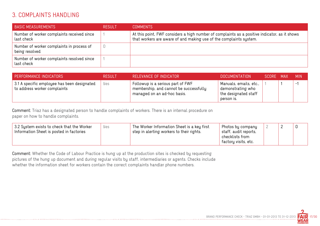## 3. COMPLAINTS HANDLING

| <b>BASIC MEASUREMENTS</b>                                   | <b>RESULT</b> | <b>COMMENTS</b>                                                                                                                                                     |
|-------------------------------------------------------------|---------------|---------------------------------------------------------------------------------------------------------------------------------------------------------------------|
| Number of worker complaints received since<br>last check    |               | At this point, FWF considers a high number of complaints as a positive indicator, as it shows<br>that workers are aware of and making use of the complaints system. |
| Number of worker complaints in process of<br>being resolved |               |                                                                                                                                                                     |
| Number of worker complaints resolved since<br>last check    |               |                                                                                                                                                                     |

| PERFORMANCE INDICATORS                                                      | <b>RESULT</b> | RELEVANCE OF INDICATOR                                                                                     | <b>DOCUMENTATION</b>                                                              | SCORE MAX | <b>MIN</b>               |
|-----------------------------------------------------------------------------|---------------|------------------------------------------------------------------------------------------------------------|-----------------------------------------------------------------------------------|-----------|--------------------------|
| 3.1 A specific employee has been designated<br>to address worker complaints | Yes           | Followup is a serious part of FWF<br>membership, and cannot be successfully<br>managed on an ad-hoc basis. | Manuals, emails, etc.,<br>demonstrating who<br>the designated staff<br>person is. |           | $\overline{\phantom{0}}$ |

Comment: Triaz has a designated person to handle complaints of workers. There is an internal procedure on paper on how to handle complaints.

| 3.2 System exists to check that the Worker<br>Yes<br>Information Sheet is posted in factories | The Worker Information Sheet is a key first<br>step in alerting workers to their rights. | Photos by company<br>staff, audit reports,<br>checklists from |  |  |
|-----------------------------------------------------------------------------------------------|------------------------------------------------------------------------------------------|---------------------------------------------------------------|--|--|
|                                                                                               |                                                                                          | factory visits, etc.                                          |  |  |

Comment: Whether the Code of Labour Practice is hung up at the production sites is checked by requesting pictures of the hung up document and during regular visits by staff, intermediaries or agents. Checks include whether the information sheet for workers contain the correct complaints handler phone numbers.

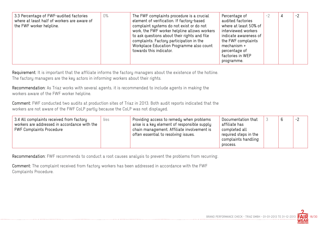| mechanism +<br>towards this indicator.<br>percentage of<br>factories in WEP<br>programme. | 3.3 Percentage of FWF-audited factories<br>where at least half of workers are aware of<br>the FWF worker helpline. | $0\%$ | The FWF complaints procedure is a crucial<br>element of verification. If factory-based<br>complaint systems do not exist or do not<br>work, the FWF worker helpline allows workers<br>to ask questions about their rights and file<br>complaints. Factory participation in the<br>Workplace Education Programme also count | Percentage of<br>audited factories<br>where at least 50% of<br>interviewed workers<br>indicate awareness of<br>the FWF complaints | $-2$ |  | $-2$ |
|-------------------------------------------------------------------------------------------|--------------------------------------------------------------------------------------------------------------------|-------|----------------------------------------------------------------------------------------------------------------------------------------------------------------------------------------------------------------------------------------------------------------------------------------------------------------------------|-----------------------------------------------------------------------------------------------------------------------------------|------|--|------|
|-------------------------------------------------------------------------------------------|--------------------------------------------------------------------------------------------------------------------|-------|----------------------------------------------------------------------------------------------------------------------------------------------------------------------------------------------------------------------------------------------------------------------------------------------------------------------------|-----------------------------------------------------------------------------------------------------------------------------------|------|--|------|

Requirement: It is important that the affiliate informs the factory managers about the existence of the hotline. The factory managers are the key actors in informing workers about their rights.

Recommendation: As Triaz works with several agents, it is recommended to include agents in making the workers aware of the FWF worker helpline.

Comment: FWF conducted two audits at production sites of Triaz in 2013. Both audit reports indicated that the workers are not aware of the FWF CoLP partly because the CoLP was not displayed.

| 3.4 All complaints received from factory<br>Yes<br>workers are addressed in accordance with the<br><b>FWF Complaints Procedure</b> | Providing access to remedy when problems<br>arise is a key element of responsible supply<br>chain management. Affiliate involvement is<br>often essential to resolving issues. | Documentation that<br>affiliate has<br>completed all<br>required steps in the<br>complaints handling<br>process. |  |  | $-2$ |
|------------------------------------------------------------------------------------------------------------------------------------|--------------------------------------------------------------------------------------------------------------------------------------------------------------------------------|------------------------------------------------------------------------------------------------------------------|--|--|------|
|------------------------------------------------------------------------------------------------------------------------------------|--------------------------------------------------------------------------------------------------------------------------------------------------------------------------------|------------------------------------------------------------------------------------------------------------------|--|--|------|

Recommendation: FWF recommends to conduct a root causes analysis to prevent the problems from recurring.

Comment: The complaint received from factory workers has been addressed in accordance with the FWF Complaints Procedure.

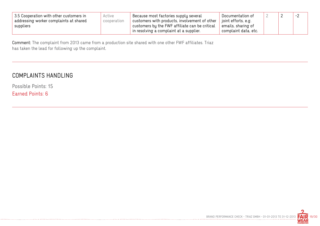| 3.5 Cooperation with other customers in | Active      | Because most factories supply several                 | Documentation of      |  | - 2 |
|-----------------------------------------|-------------|-------------------------------------------------------|-----------------------|--|-----|
| addressing worker complaints at shared  | cooperation | $^\pm$ customers with products, involvement of other  | ' joint efforts, e.g. |  |     |
| suppliers                               |             | $^\pm$ customers by the FWF affiliate can be critical | emails, sharing of    |  |     |
|                                         |             | in resolving a complaint at a supplier.               | complaint data, etc.  |  |     |

Comment: The complaint from 2013 came from a production site shared with one other FWF affiliates. Triaz has taken the lead for following up the complaint.

## COMPLAINTS HANDLING

Possible Points: 15 Earned Points: 6

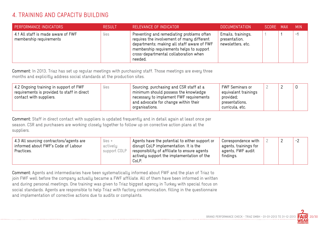# 4. TRAINING AND CAPACITY BUILDING

| <b>PERFORMANCE INDICATORS</b>                                 | <b>RESULT</b> | RELEVANCE OF INDICATOR                                                                                                                                                                                                                | DOCUMENTATION                                            | SCORE MAX | <b>MIN</b> |
|---------------------------------------------------------------|---------------|---------------------------------------------------------------------------------------------------------------------------------------------------------------------------------------------------------------------------------------|----------------------------------------------------------|-----------|------------|
| 4.1 All staff is made aware of FWF<br>membership requirements | Yes           | Preventing and remediating problems often<br>requires the involvement of many different<br>departments; making all staff aware of FWF<br>membership requirements helps to support<br>cross-departmental collaboration when<br>needed. | Emails, trainings,<br>presentation,<br>newsletters, etc. |           | . — 1      |

Comment: In 2013, Triaz has set up regular meetings with purchasing staff. Those meetings are every three months and explicitly address social standards at the production sites.

| 4.2 Ongoing training in support of FWF<br>yes.<br>requirements is provided to staff in direct<br>contact with suppliers. | Sourcing, purchasing and CSR staff at a<br>minimum should possess the knowledge<br>necessary to implement FWF requirements<br>and advocate for change within their<br>organisations. | FWF Seminars or<br>equivalent trainings<br>provided;<br>presentations,<br>curricula, etc. |  |  |  |
|--------------------------------------------------------------------------------------------------------------------------|--------------------------------------------------------------------------------------------------------------------------------------------------------------------------------------|-------------------------------------------------------------------------------------------|--|--|--|
|--------------------------------------------------------------------------------------------------------------------------|--------------------------------------------------------------------------------------------------------------------------------------------------------------------------------------|-------------------------------------------------------------------------------------------|--|--|--|

Comment: Staff in direct contact with suppliers is updated frequently and in detail again at least once per season. CSR and purchasers are working closely together to follow up on corrective action plans at the suppliers.

| 4.3 All sourcing contractors/agents are<br>informed about FWF's Code of Labour | $y_{es}$ +<br>actively | Agents have the potential to either support or<br>disrupt CoLP implementation. It is the              | Correspondence with<br>agents, trainings for |  | $-2$ |
|--------------------------------------------------------------------------------|------------------------|-------------------------------------------------------------------------------------------------------|----------------------------------------------|--|------|
| Practices.                                                                     | support COLP           | responsibility of affiliate to ensure agents<br>$^{\circ}$ actively support the implementation of the | agents, FWF audit<br>findings.               |  |      |
|                                                                                |                        | CoLP.                                                                                                 |                                              |  |      |

Comment: Agents and intermediaries have been systematically informed about FWF and the plan of Triaz to join FWF well before the company actually became a FWF affiliate. All of them have been informed in written and during personal meetings. One training was given to Triaz biggest agency in Turkey with special focus on social standards. Agents are responsible to help Triaz with factory communication, filling in the questionnaire and implementation of corrective actions due to audits or complaints.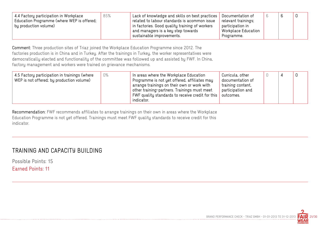| 4.4 Factory participation in Workplace<br>Education Programme (where WEP is offered;<br>' by production volume) | 85% | Lack of knowledge and skills on best practices<br>related to labour standards is acommon issue<br>in factories. Good quality training of workers<br>and managers is a key step towards | Documentation of<br>relevant trainings;<br>participation in<br>Workplace Education |  |  |
|-----------------------------------------------------------------------------------------------------------------|-----|----------------------------------------------------------------------------------------------------------------------------------------------------------------------------------------|------------------------------------------------------------------------------------|--|--|
|                                                                                                                 |     | sustainable improvements.                                                                                                                                                              | Programme.                                                                         |  |  |

Comment: Three production sites of Triaz joined the Workplace Education Programme since 2012. The factories production is in China and in Turkey. After the trainings in Turkey, the worker representatives were democratically elected and functionality of the committee was followed up and assisted by FWF. In China, factory management and workers were trained on grievance mechanisms.

| 4.5 Factory participation in trainings (where<br>WEP is not offered; by production volume) | 0% | In areas where the Workplace Education<br>Programme is not yet offered, affiliates may<br>arrange trainings on their own or work with<br>other training-partners. Trainings must meet<br>FWF quality standards to receive credit for this<br>indicator. | Curricula, other<br>documentation of<br>training content,<br>participation and<br>outcomes. |  |  |  |
|--------------------------------------------------------------------------------------------|----|---------------------------------------------------------------------------------------------------------------------------------------------------------------------------------------------------------------------------------------------------------|---------------------------------------------------------------------------------------------|--|--|--|
|--------------------------------------------------------------------------------------------|----|---------------------------------------------------------------------------------------------------------------------------------------------------------------------------------------------------------------------------------------------------------|---------------------------------------------------------------------------------------------|--|--|--|

Recommendation: FWF recommends affiliates to arrange trainings on their own in areas where the Workplace Education Programme is not yet offered. Trainings must meet FWF quality standards to receive credit for this indicator.

## TRAINING AND CAPACITY BUILDING

Possible Points: 15

Earned Points: 11

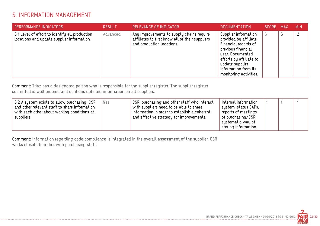# 5. INFORMATION MANAGEMENT

| <b>PERFORMANCE INDICATORS</b>                                                                | <b>RESULT</b> | RELEVANCE OF INDICATOR                                                                                                    | <b>DOCUMENTATION</b>                                                                                                                                                                                             | SCORE MAX |   | <b>MIN</b> |
|----------------------------------------------------------------------------------------------|---------------|---------------------------------------------------------------------------------------------------------------------------|------------------------------------------------------------------------------------------------------------------------------------------------------------------------------------------------------------------|-----------|---|------------|
| 5.1 Level of effort to identify all production<br>locations and update supplier information. | Advanced      | Any improvements to supply chains require<br>affiliates to first know all of their suppliers<br>and production locations. | Supplier information<br>provided by affiliate.<br>Financial records of<br>previous financial<br>year. Documented<br>efforts by affiliate to<br>update supplier<br>information from its<br>monitoring activities. | 6         | 6 | $-2$       |

Comment: Triaz has a designated person who is responsible for the supplier register. The supplier register submitted is well ordered and contains detailed information on all suppliers.

| 5.2 A system exists to allow purchasing, CSR<br>Yes<br>and other relevant staff to share information<br>with each other about working conditions at<br>suppliers | CSR, purchasing and other staff who interact<br>with suppliers need to be able to share<br>information in order to establish a coherent<br>and effective strategy for improvements. | Internal information<br>system; status CAPs,<br>reports of meetings<br>of purchasing/CSR;<br>systematic way of<br>storing information. |  |  | Ξ, |  |
|------------------------------------------------------------------------------------------------------------------------------------------------------------------|-------------------------------------------------------------------------------------------------------------------------------------------------------------------------------------|----------------------------------------------------------------------------------------------------------------------------------------|--|--|----|--|
|------------------------------------------------------------------------------------------------------------------------------------------------------------------|-------------------------------------------------------------------------------------------------------------------------------------------------------------------------------------|----------------------------------------------------------------------------------------------------------------------------------------|--|--|----|--|

Comment: Information regarding code compliance is integrated in the overall assessment of the supplier. CSR works closely together with purchasing staff.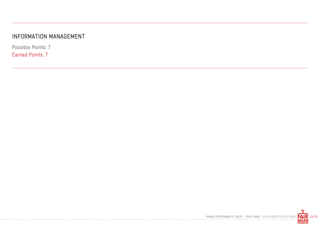## INFORMATION MANAGEMENT

Possible Points: 7 Earned Points: 7

. **. . . . . . . . .** . . .

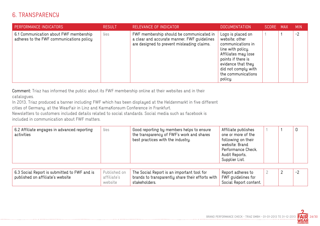## 6. TRANSPARENCY

| PERFORMANCE INDICATORS                                                             | <b>RESULT</b> | RELEVANCE OF INDICATOR                                                                                                                | <b>DOCUMENTATION</b>                                                                                                                                                                                     | <b>SCORE</b> | <b>MAX</b> | <b>MIN</b> |
|------------------------------------------------------------------------------------|---------------|---------------------------------------------------------------------------------------------------------------------------------------|----------------------------------------------------------------------------------------------------------------------------------------------------------------------------------------------------------|--------------|------------|------------|
| 6.1 Communication about FWF membership<br>adheres to the FWF communications policy | Yes           | FWF membership should be communicated in<br>a clear and accurate manner. FWF guidelines<br>are designed to prevent misleading claims. | Logo is placed on<br>website; other<br>communications in<br>line with policy.<br>Affiliates may lose<br>points if there is<br>evidence that they<br>did not comply with<br>the communications<br>policy. |              |            | $-2$       |

Comment: Triaz has informed the public about its FWF membership online at their websites and in their catalogues.

In 2013, Triaz produced a banner including FWF which has been displayed at the Heldenmarkt in five different cities of Germany, at the WearFair in Linz and KarmaKonsum Conference in Frankfurt.

Newsletters to customers included details related to social standards. Social media such as facebook is included in communication about FWF matters.

| 6.2 Affiliate engages in advanced reporting<br>activities | Yes          | Good reporting by members helps to ensure<br>the transparency of FWF's work and shares<br>best practices with the industry. | Affiliate publishes<br>one or more of the<br>following on their<br>website: Brand<br>Performance Check,<br>Audit Reports,<br>Supplier List. |  | O    |
|-----------------------------------------------------------|--------------|-----------------------------------------------------------------------------------------------------------------------------|---------------------------------------------------------------------------------------------------------------------------------------------|--|------|
|                                                           |              |                                                                                                                             |                                                                                                                                             |  |      |
| 6.3 Social Report is submitted to FWF and is              | Published on | The Social Report is an important tool for                                                                                  | Report adheres to                                                                                                                           |  | $-2$ |

| $\mid$ 6.3 Social Report is submitted to FWF and is $\mid$ | Published on | The Social Report is an important tool for                         | Report adheres to      |  |  |
|------------------------------------------------------------|--------------|--------------------------------------------------------------------|------------------------|--|--|
| published on affiliate's website                           | affiliate's  | $\perp$ brands to transparently share their efforts with $\perp$ . | FWF quidelines for     |  |  |
|                                                            | website      | stakeholders                                                       | Social Report content. |  |  |

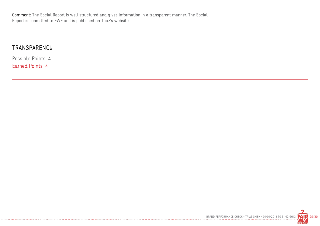------------------------------

#### **TRANSPARENCY**

Possible Points: 4 Earned Points: 4

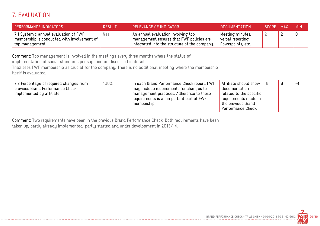# 7. EVALUATION

| <b>PERFORMANCE INDICATORS</b>                                                                          | <b>RESULT</b> | RELEVANCE OF INDICATOR                                                                                                                          | <b>DOCUMENTATION</b>                                       | SCORE MAX | MIN. |
|--------------------------------------------------------------------------------------------------------|---------------|-------------------------------------------------------------------------------------------------------------------------------------------------|------------------------------------------------------------|-----------|------|
| 7.1 Systemic annual evaluation of FWF<br>membership is conducted with involvement of<br>top management | yes           | An annual evaluation involving top<br>$^{\mathrm{+}}$ management ensures that FWF policies are<br>integrated into the structure of the company. | Meeting minutes,<br>verbal reporting,<br>Powerpoints, etc. |           |      |

Comment: Top management is involved in the meetings every three months where the status of

implementation of social standards per supplier are discussed in detail.

Triaz sees FWF membership as crucial for the company. There is no additional meeting where the membership itself is evaluated.

| 7.2 Percentage of required changes from<br>previous Brand Performance Check<br>implemented by affiliate | 100% | In each Brand Performance Check report, FWF<br>may include requirements for changes to<br>management practices. Adherence to these<br>requirements is an important part of FWF<br>membership. | Affiliate should show<br>documentation<br>related to the specific<br>requirements made in<br>the previous Brand<br>Performance Check. |  | R<br>ັ | $-4$ |
|---------------------------------------------------------------------------------------------------------|------|-----------------------------------------------------------------------------------------------------------------------------------------------------------------------------------------------|---------------------------------------------------------------------------------------------------------------------------------------|--|--------|------|
|---------------------------------------------------------------------------------------------------------|------|-----------------------------------------------------------------------------------------------------------------------------------------------------------------------------------------------|---------------------------------------------------------------------------------------------------------------------------------------|--|--------|------|

Comment: Two requirements have been in the previous Brand Performance Check. Both requirements have been taken up, partly already implemented, partly started and under development in 2013/14.

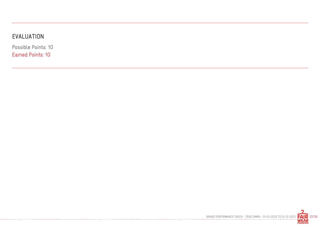# EVALUATION

------------

Possible Points: 10 Earned Points: 10

BRAND PERFORMANCE CHECK - TRIAZ GMBH - 01-01-2013 TO 31-12-2013 **FAIR** 27/30

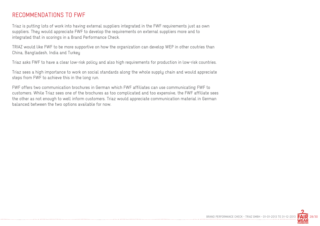#### RECOMMENDATIONS TO FWF

Triaz is putting lots of work into having external suppliers integrated in the FWF requirements just as own suppliers. They would appreciate FWF to develop the requirements on external suppliers more and to integrated that in scorings in a Brand Performance Check.

TRIAZ would like FWF to be more supportive on how the organization can develop WEP in other coutries than China, Bangladesh, India and Turkey

Triaz asks FWF to have a clear low-risk policy and also high requirements for production in low-risk countries.

Triaz sees a high importance to work on social standards along the whole supply chain and would appreciate steps from FWF to achieve this in the long run.

FWF offers two communication brochures in German which FWF affiliates can use communicating FWF to customers. While Triaz sees one of the brochures as too complicated and too expensive, the FWF affiliate sees the other as not enough to well inform customers. Triaz would appreciate communication material in German balanced between the two options available for now.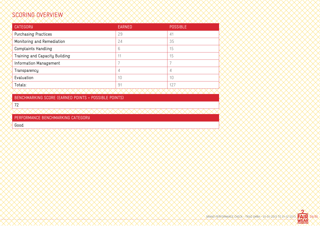# SCORING OVERVIEW

| <b>CATEGORY</b>                | <b>EARNED</b> | <b>POSSIBLE</b> |
|--------------------------------|---------------|-----------------|
| <b>Purchasing Practices</b>    | 29            | 41              |
| Monitoring and Remediation     | 24            | 35              |
| <b>Complaints Handling</b>     | 6             | 15              |
| Training and Capacity Building | 11            | 15              |
| Information Management         |               |                 |
| Transparency                   | 4             | 4               |
| Evaluation                     | 10            | 10              |
| Totals:                        | 91            | 127             |
|                                |               |                 |

BENCHMARKING SCORE (EARNED POINTS ÷ POSSIBLE POINTS)

72

PERFORMANCE BENCHMARKING CATEGORY

Good